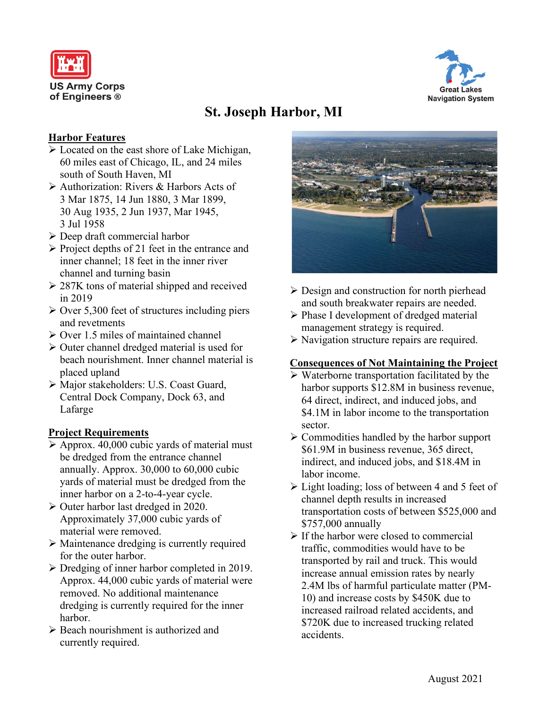



# **St. Joseph Harbor, MI**

#### **Harbor Features**

- Located on the east shore of Lake Michigan, 60 miles east of Chicago, IL, and 24 miles south of South Haven, MI
- Authorization: Rivers & Harbors Acts of 3 Mar 1875, 14 Jun 1880, 3 Mar 1899, 30 Aug 1935, 2 Jun 1937, Mar 1945, 3 Jul 1958
- Deep draft commercial harbor
- $\triangleright$  Project depths of 21 feet in the entrance and inner channel; 18 feet in the inner river channel and turning basin
- $\geq$  287K tons of material shipped and received in 2019
- $\geq$  Over 5,300 feet of structures including piers and revetments
- $\triangleright$  Over 1.5 miles of maintained channel
- $\triangleright$  Outer channel dredged material is used for beach nourishment. Inner channel material is placed upland
- Major stakeholders: U.S. Coast Guard, Central Dock Company, Dock 63, and Lafarge

## **Project Requirements**

- $\triangleright$  Approx. 40,000 cubic yards of material must be dredged from the entrance channel annually. Approx. 30,000 to 60,000 cubic yards of material must be dredged from the inner harbor on a 2-to-4-year cycle.
- Outer harbor last dredged in 2020. Approximately 37,000 cubic yards of material were removed.
- $\triangleright$  Maintenance dredging is currently required for the outer harbor.
- $\triangleright$  Dredging of inner harbor completed in 2019. Approx. 44,000 cubic yards of material were removed. No additional maintenance dredging is currently required for the inner harbor.
- $\triangleright$  Beach nourishment is authorized and currently required.



- $\triangleright$  Design and construction for north pierhead and south breakwater repairs are needed.
- Phase I development of dredged material management strategy is required.
- $\triangleright$  Navigation structure repairs are required.

## **Consequences of Not Maintaining the Project**

- $\triangleright$  Waterborne transportation facilitated by the harbor supports \$12.8M in business revenue, 64 direct, indirect, and induced jobs, and \$4.1M in labor income to the transportation sector.
- $\triangleright$  Commodities handled by the harbor support \$61.9M in business revenue, 365 direct, indirect, and induced jobs, and \$18.4M in labor income.
- Light loading; loss of between 4 and 5 feet of channel depth results in increased transportation costs of between \$525,000 and \$757,000 annually
- $\triangleright$  If the harbor were closed to commercial traffic, commodities would have to be transported by rail and truck. This would increase annual emission rates by nearly 2.4M lbs of harmful particulate matter (PM-10) and increase costs by \$450K due to increased railroad related accidents, and \$720K due to increased trucking related accidents.